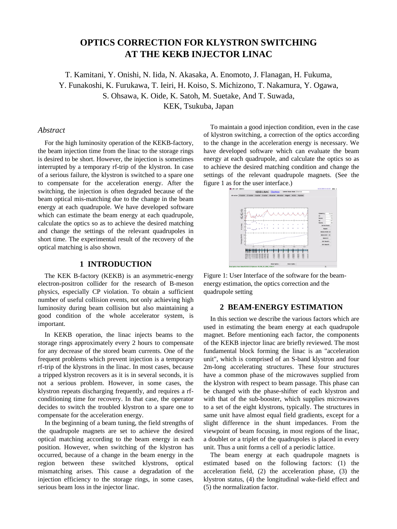# **OPTICS CORRECTION FOR KLYSTRON SWITCHING AT THE KEKB INJECTOR LINAC**

T. Kamitani, Y. Onishi, N. Iida, N. Akasaka, A. Enomoto, J. Flanagan, H. Fukuma, Y. Funakoshi, K. Furukawa, T. Ieiri, H. Koiso, S. Michizono, T. Nakamura, Y. Ogawa, S. Ohsawa, K. Oide, K. Satoh, M. Suetake, And T. Suwada, KEK, Tsukuba, Japan

### *Abstract*

For the high luminosity operation of the KEKB-factory, the beam injection time from the linac to the storage rings is desired to be short. However, the injection is sometimes interrupted by a temporary rf-trip of the klystron. In case of a serious failure, the klystron is switched to a spare one to compensate for the acceleration energy. After the switching, the injection is often degraded because of the beam optical mis-matching due to the change in the beam energy at each quadrupole. We have developed software which can estimate the beam energy at each quadrupole, calculate the optics so as to achieve the desired matching and change the settings of the relevant quadrupoles in short time. The experimental result of the recovery of the optical matching is also shown.

### **1 INTRODUCTION**

The KEK B-factory (KEKB) is an asymmetric-energy electron-positron collider for the research of B-meson physics, especially CP violation. To obtain a sufficient number of useful collision events, not only achieving high luminosity during beam collision but also maintaining a good condition of the whole accelerator system, is important.

In KEKB operation, the linac injects beams to the storage rings approximately every 2 hours to compensate for any decrease of the stored beam currents. One of the frequent problems which prevent injection is a temporary rf-trip of the klystrons in the linac. In most cases, because a tripped klystron recovers as it is in several seconds, it is not a serious problem. However, in some cases, the klystron repeats discharging frequently, and requires a rfconditioning time for recovery. In that case, the operator decides to switch the troubled klystron to a spare one to compensate for the acceleration energy.

In the beginning of a beam tuning, the field strengths of the quadrupole magnets are set to achieve the desired optical matching according to the beam energy in each position. However, when switching of the klystron has occurred, because of a change in the beam energy in the region between these switched klystrons, optical mismatching arises. This cause a degradation of the injection efficiency to the storage rings, in some cases, serious beam loss in the injector linac.

To maintain a good injection condition, even in the case of klystron switching, a correction of the optics according to the change in the acceleration energy is necessary. We have developed software which can evaluate the beam energy at each quadrupole, and calculate the optics so as to achieve the desired matching condition and change the settings of the relevant quadrupole magnets. (See the figure 1 as for the user interface.)



Figure 1: User Interface of the software for the beamenergy estimation, the optics correction and the quadrupole setting

### **2 BEAM-ENERGY ESTIMATION**

In this section we describe the various factors which are used in estimating the beam energy at each quadrupole magnet. Before mentioning each factor, the components of the KEKB injector linac are briefly reviewed. The most fundamental block forming the linac is an "acceleration unit", which is comprised of an S-band klystron and four 2m-long accelerating structures. These four structures have a common phase of the microwaves supplied from the klystron with respect to beam passage. This phase can be changed with the phase-shifter of each klystron and with that of the sub-booster, which supplies microwaves to a set of the eight klystrons, typically. The structures in same unit have almost equal field gradients, except for a slight difference in the shunt impedances. From the viewpoint of beam focusing, in most regions of the linac, a doublet or a triplet of the quadrupoles is placed in every unit. Thus a unit forms a cell of a periodic lattice.

The beam energy at each quadrupole magnets is estimated based on the following factors: (1) the acceleration field, (2) the acceleration phase, (3) the klystron status, (4) the longitudinal wake-field effect and (5) the normalization factor.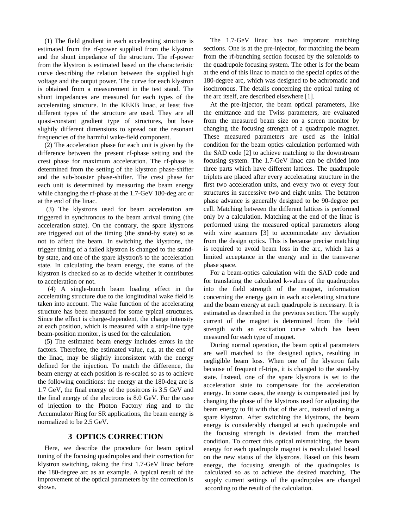(1) The field gradient in each accelerating structure is estimated from the rf-power supplied from the klystron and the shunt impedance of the structure. The rf-power from the klystron is estimated based on the characteristic curve describing the relation between the supplied high voltage and the output power. The curve for each klystron is obtained from a measurement in the test stand. The shunt impedances are measured for each types of the accelerating structure. In the KEKB linac, at least five different types of the structure are used. They are all quasi-constant gradient type of structures, but have slightly different dimensions to spread out the resonant frequencies of the harmful wake-field component.

(2) The acceleration phase for each unit is given by the difference between the present rf-phase setting and the crest phase for maximum acceleration. The rf-phase is determined from the setting of the klystron phase-shifter and the sub-booster phase-shifter. The crest phase for each unit is determined by measuring the beam energy while changing the rf-phase at the 1.7-GeV 180-deg arc or at the end of the linac.

 (3) The klystrons used for beam acceleration are triggered in synchronous to the beam arrival timing (the acceleration state). On the contrary, the spare klystrons are triggered out of the timing (the stand-by state) so as not to affect the beam. In switching the klystrons, the trigger timing of a failed klystron is changed to the standby state, and one of the spare klystron's to the acceleration state. In calculating the beam energy, the status of the klystron is checked so as to decide whether it contributes to acceleration or not.

(4) A single-bunch beam loading effect in the accelerating structure due to the longitudinal wake field is taken into account. The wake function of the accelerating structure has been measured for some typical structures. Since the effect is charge-dependent, the charge intensity at each position, which is measured with a strip-line type beam-position monitor, is used for the calculation.

(5) The estimated beam energy includes errors in the factors. Therefore, the estimated value, e.g. at the end of the linac, may be slightly inconsistent with the energy defined for the injection. To match the difference, the beam energy at each position is re-scaled so as to achieve the following conditions: the energy at the 180-deg arc is 1.7 GeV, the final energy of the positrons is 3.5 GeV and the final energy of the electrons is 8.0 GeV. For the case of injection to the Photon Factory ring and to the Accumulator Ring for SR applications, the beam energy is normalized to be 2.5 GeV.

## **3 OPTICS CORRECTION**

Here, we describe the procedure for beam optical tuning of the focusing quadrupoles and their correction for klystron switching, taking the first 1.7-GeV linac before the 180-degree arc as an example. A typical result of the improvement of the optical parameters by the correction is shown.

The 1.7-GeV linac has two important matching sections. One is at the pre-injector, for matching the beam from the rf-bunching section focused by the solenoids to the quadrupole focusing system. The other is for the beam at the end of this linac to match to the special optics of the 180-degree arc, which was designed to be achromatic and isochronous. The details concerning the optical tuning of the arc itself, are described elsewhere [1].

At the pre-injector, the beam optical parameters, like the emittance and the Twiss parameters, are evaluated from the measured beam size on a screen monitor by changing the focusing strength of a quadrupole magnet. These measured parameters are used as the initial condition for the beam optics calculation performed with the SAD code [2] to achieve matching to the downstream focusing system. The 1.7-GeV linac can be divided into three parts which have different lattices. The quadrupole triplets are placed after every accelerating structure in the first two acceleration units, and every two or every four structures in successive two and eight units. The betatron phase advance is generally designed to be 90-degree per cell. Matching between the different lattices is performed only by a calculation. Matching at the end of the linac is performed using the measured optical parameters along with wire scanners [3] to accommodate any deviation from the design optics. This is because precise matching is required to avoid beam loss in the arc, which has a limited acceptance in the energy and in the transverse phase space.

For a beam-optics calculation with the SAD code and for translating the calculated k-values of the quadrupoles into the field strength of the magnet, information concerning the energy gain in each accelerating structure and the beam energy at each quadrupole is necessary. It is estimated as described in the previous section. The supply current of the magnet is determined from the field strength with an excitation curve which has been measured for each type of magnet.

During normal operation, the beam optical parameters are well matched to the designed optics, resulting in negligible beam loss. When one of the klystron fails because of frequent rf-trips, it is changed to the stand-by state. Instead, one of the spare klystrons is set to the acceleration state to compensate for the acceleration energy. In some cases, the energy is compensated just by changing the phase of the klystrons used for adjusting the beam energy to fit with that of the arc, instead of using a spare klystron. After switching the klystrons, the beam energy is considerably changed at each quadrupole and the focusing strength is deviated from the matched condition. To correct this optical mismatching, the beam energy for each quadrupole magnet is recalculated based on the new status of the klystrons. Based on this beam energy, the focusing strength of the quadrupoles is calculated so as to achieve the desired matching. The supply current settings of the quadrupoles are changed according to the result of the calculation.